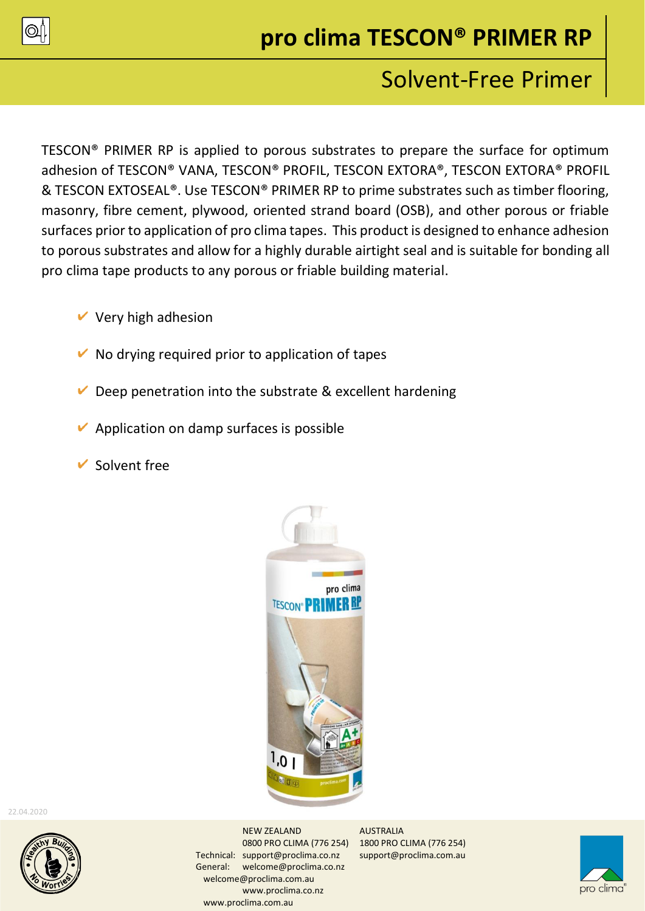

# **pro clima TESCON® PRIMER RP**

## Solvent-Free Primer

TESCON® PRIMER RP is applied to porous substrates to prepare the surface for optimum adhesion of TESCON® VANA, TESCON® PROFIL, TESCON EXTORA®, TESCON EXTORA® PROFIL & TESCON EXTOSEAL®. Use TESCON® PRIMER RP to prime substrates such as timber flooring, masonry, fibre cement, plywood, oriented strand board (OSB), and other porous or friable surfaces prior to application of pro clima tapes. This product is designed to enhance adhesion to porous substrates and allow for a highly durable airtight seal and is suitable for bonding all pro clima tape products to any porous or friable building material.

- $\vee$  Very high adhesion
- $\vee$  No drying required prior to application of tapes
- Deep penetration into the substrate & excellent hardening
- $\vee$  Application on damp surfaces is possible
- $\vee$  Solvent free



22.04.2020



NEW ZEALAND AUSTRALIA 0800 PRO CLIMA (776 254) 1800 PRO CLIMA (776 254) Technical: [support@proclima.co.nz](mailto:support@proclima.co.nz) support@proclima.com.au General: [welcome@proclima.co.nz](mailto:welcome@proclima.co.nz) welcome@proclima.com.au [www.proclima.co.nz](http://www.proclima.co.nz/) www.proclima.com.au